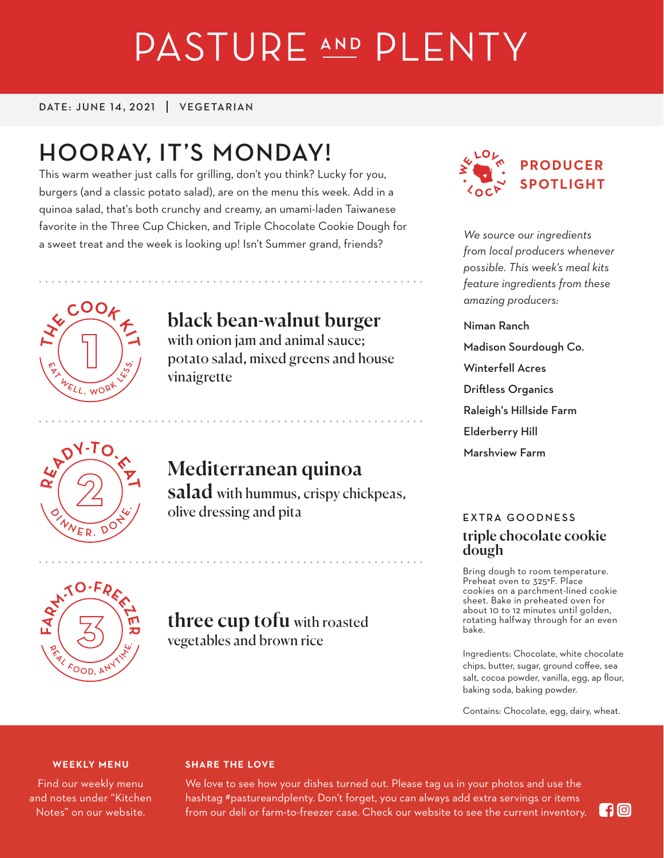# PASTURE AND PLENTY

DATE: JUNE 14, 2021 | VEGETARIAN

# **HOORAY, IT'S MONDAY!**

This warm weather just calls for grilling, don't you think? Lucky for you, burgers (and a classic potato salad), are on the menu this week. Add in a quinoa salad, that's both crunchy and creamy, an umami-laden Taiwanese favorite in the Three Cup Chicken, and Triple Chocolate Cookie Dough for a sweet treat and the week is looking up! Isn't Summer grand, friends?



# black bean-walnut burger

with onion jam and animal sauce; potato salad, mixed greens and house vinaigrette



# Mediterranean quinoa

salad with hummus, crispy chickpeas, olive dressing and pita



## three cup tofu with roasted vegetables and brown rice



*We source our ingredients from local producers whenever possible. This week's meal kits feature ingredients from these amazing producers:*

# Niman Ranch

- Madison Sourdough Co.
- Winterfell Acres
- Driftless Organics
- Raleigh's Hillside Farm
- Elderberry Hill
- Marshview Farm

### **EXTRA GOODNESS** triple chocolate cookie dough

Bring dough to room temperature. Preheat oven to 325°F. Place cookies on a parchment-lined cookie sheet. Bake in preheated oven for about 10 to 12 minutes until golden, rotating halfway through for an even bake.

Ingredients: Chocolate, white chocolate chips, butter, sugar, ground coffee, sea salt, cocoa powder, vanilla, egg, ap flour, baking soda, baking powder.

Contains: Chocolate, egg, dairy, wheat.

#### **WEEKLY MENU**

Find our weekly menu and notes under "Kitchen Notes" on our website.

#### **SHARE THE LOVE**

We love to see how your dishes turned out. Please tag us in your photos and use the hashtag #pastureandplenty. Don't forget, you can always add extra servings or items from our deli or farm-to-freezer case. Check our website to see the current inventory.